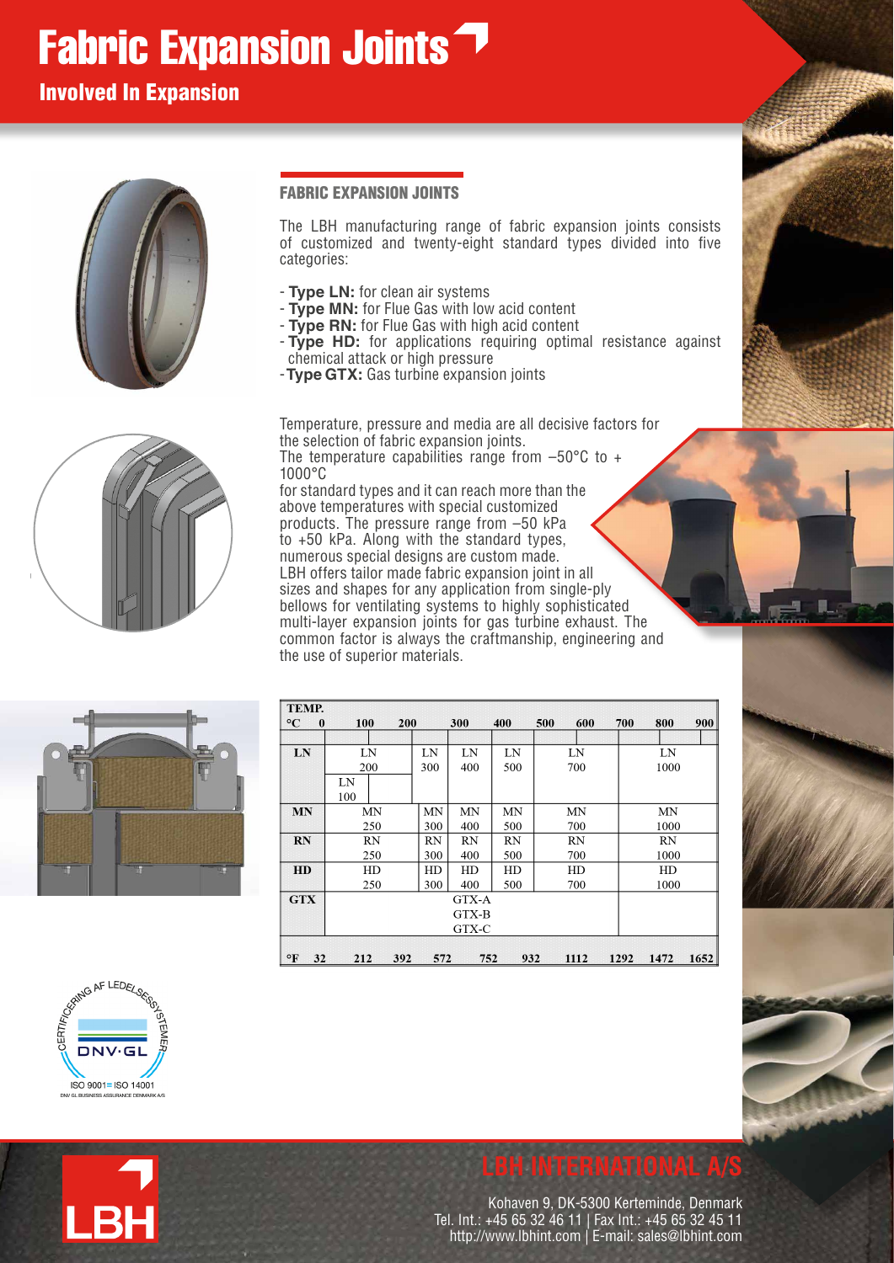# Fabric Expansion Joints<sup>7</sup>

# Involved In Expansion



## FABRIC EXPANSION JOINTS

The LBH manufacturing range of fabric expansion joints consists of customized and twenty-eight standard types divided into five categories:

- **Type LN:** for clean air systems
- **Type MN:** for Flue Gas with low acid content
- **Type RN:** for Flue Gas with high acid content
- **Type HD:** for applications requiring optimal resistance against chemical attack or high pressure
- -**Type GTX:** Gas turbine expansion joints

Temperature, pressure and media are all decisive factors for the selection of fabric expansion joints. The temperature capabilities range from  $-50^{\circ}$ C to  $+$ 1000°C

for standard types and it can reach more than the above temperatures with special customized products. The pressure range from –50 kPa to +50 kPa. Along with the standard types, numerous special designs are custom made. LBH offers tailor made fabric expansion joint in all sizes and shapes for any application from single-ply bellows for ventilating systems to highly sophisticated multi-layer expansion joints for gas turbine exhaust. The common factor is always the craftmanship, engineering and the use of superior materials.



| TEMP.                    |           |     |     |       |     |     |      |      |      |      |
|--------------------------|-----------|-----|-----|-------|-----|-----|------|------|------|------|
| $\mathbf{C}$<br>$\bf{0}$ | 100       | 200 |     | 300   | 400 | 500 | 600  | 700  | 800  | 900  |
|                          |           |     |     |       |     |     |      |      |      |      |
| LN                       | LN        |     | LN  | LN    | LN  |     | LN   |      | LN   |      |
|                          | 200       |     | 300 | 400   | 500 |     | 700  |      | 1000 |      |
|                          | LN        |     |     |       |     |     |      |      |      |      |
|                          | 100       |     |     |       |     |     |      |      |      |      |
| <b>MN</b>                | MΝ        |     | MN  | MΝ    | MN  |     | MΝ   |      | MN   |      |
|                          | 250       |     | 300 | 400   | 500 |     | 700  |      | 1000 |      |
| <b>RN</b>                | <b>RN</b> |     | RN  | RN    | RN  |     | RN   |      | RN   |      |
|                          | 250       |     | 300 | 400   | 500 |     | 700  |      | 1000 |      |
| HD                       | HD        |     | HD  | HD    | HD  |     | HD   |      | HD   |      |
|                          | 250       |     | 300 | 400   | 500 |     | 700  |      | 1000 |      |
| <b>GTX</b>               |           |     |     | GTX-A |     |     |      |      |      |      |
|                          | GTX-B     |     |     |       |     |     |      |      |      |      |
|                          | GTX-C     |     |     |       |     |     |      |      |      |      |
|                          |           |     |     |       |     |     |      |      |      |      |
| ΡF<br>32                 | 212       | 392 | 572 | 752   | 932 |     | 1112 | 1292 | 1472 | 1652 |



**.BH**